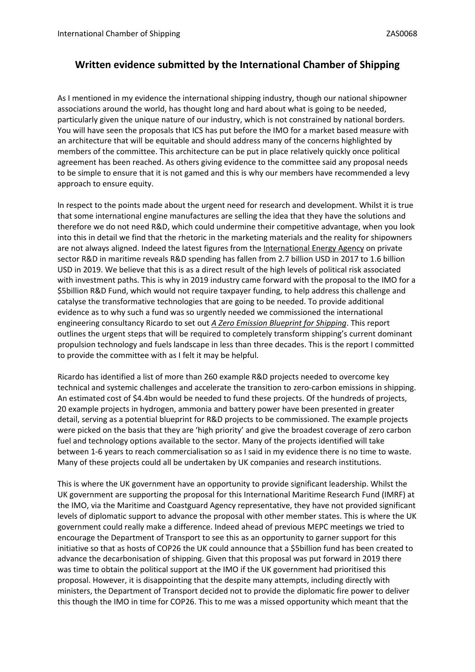## **Written evidence submitted by the International Chamber of Shipping**

As I mentioned in my evidence the international shipping industry, though our national shipowner associations around the world, has thought long and hard about what is going to be needed, particularly given the unique nature of our industry, which is not constrained by national borders. You will have seen the proposals that ICS has put before the IMO for a market based measure with an architecture that will be equitable and should address many of the concerns highlighted by members of the committee. This architecture can be put in place relatively quickly once political agreement has been reached. As others giving evidence to the committee said any proposal needs to be simple to ensure that it is not gamed and this is why our members have recommended a levy approach to ensure equity.

In respect to the points made about the urgent need for research and development. Whilst it is true that some international engine manufactures are selling the idea that they have the solutions and therefore we do not need R&D, which could undermine their competitive advantage, when you look into this in detail we find that the rhetoric in the marketing materials and the reality for shipowners are not always aligned. Indeed the latest figures from the [International](https://protect-eu.mimecast.com/s/FZ-dCGv3jfzZkXVIKLacL?domain=gbr01.safelinks.protection.outlook.com) [Energy](https://protect-eu.mimecast.com/s/FZ-dCGv3jfzZkXVIKLacL?domain=gbr01.safelinks.protection.outlook.com) [Agency](https://protect-eu.mimecast.com/s/FZ-dCGv3jfzZkXVIKLacL?domain=gbr01.safelinks.protection.outlook.com) on private sector R&D in maritime reveals R&D spending has fallen from 2.7 billion USD in 2017 to 1.6 billion USD in 2019. We believe that this is as a direct result of the high levels of political risk associated with investment paths. This is why in 2019 industry came forward with the proposal to the IMO for a \$5billion R&D Fund, which would not require taxpayer funding, to help address this challenge and catalyse the transformative technologies that are going to be needed. To provide additional evidence as to why such a fund was so urgently needed we commissioned the international engineering consultancy Ricardo to set out *[A](https://protect-eu.mimecast.com/s/y91HCJy3mcjLZM7cG1zax?domain=gbr01.safelinks.protection.outlook.com) [Zero](https://protect-eu.mimecast.com/s/y91HCJy3mcjLZM7cG1zax?domain=gbr01.safelinks.protection.outlook.com) [Emission](https://protect-eu.mimecast.com/s/y91HCJy3mcjLZM7cG1zax?domain=gbr01.safelinks.protection.outlook.com) [Blueprint](https://protect-eu.mimecast.com/s/y91HCJy3mcjLZM7cG1zax?domain=gbr01.safelinks.protection.outlook.com) [for](https://protect-eu.mimecast.com/s/y91HCJy3mcjLZM7cG1zax?domain=gbr01.safelinks.protection.outlook.com) [Shipping](https://protect-eu.mimecast.com/s/y91HCJy3mcjLZM7cG1zax?domain=gbr01.safelinks.protection.outlook.com)*. This report outlines the urgent steps that will be required to completely transform shipping's current dominant propulsion technology and fuels landscape in less than three decades. This is the report I committed to provide the committee with as I felt it may be helpful.

Ricardo has identified a list of more than 260 example R&D projects needed to overcome key technical and systemic challenges and accelerate the transition to zero-carbon emissions in shipping. An estimated cost of \$4.4bn would be needed to fund these projects. Of the hundreds of projects, 20 example projects in hydrogen, ammonia and battery power have been presented in greater detail, serving as a potential blueprint for R&D projects to be commissioned. The example projects were picked on the basis that they are 'high priority' and give the broadest coverage of zero carbon fuel and technology options available to the sector. Many of the projects identified will take between 1-6 years to reach commercialisation so as I said in my evidence there is no time to waste. Many of these projects could all be undertaken by UK companies and research institutions.

This is where the UK government have an opportunity to provide significant leadership. Whilst the UK government are supporting the proposal for this International Maritime Research Fund (IMRF) at the IMO, via the Maritime and Coastguard Agency representative, they have not provided significant levels of diplomatic support to advance the proposal with other member states. This is where the UK government could really make a difference. Indeed ahead of previous MEPC meetings we tried to encourage the Department of Transport to see this as an opportunity to garner support for this initiative so that as hosts of COP26 the UK could announce that a \$5billion fund has been created to advance the decarbonisation of shipping. Given that this proposal was put forward in 2019 there was time to obtain the political support at the IMO if the UK government had prioritised this proposal. However, it is disappointing that the despite many attempts, including directly with ministers, the Department of Transport decided not to provide the diplomatic fire power to deliver this though the IMO in time for COP26. This to me was a missed opportunity which meant that the